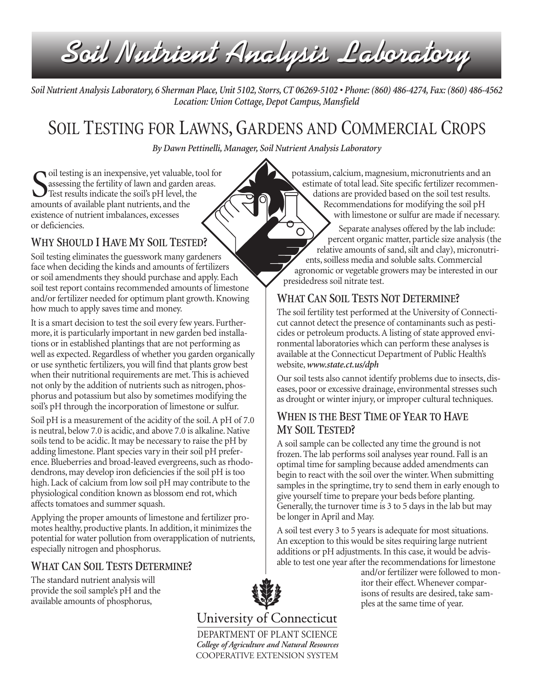*Soil Nutrient Analysis Laboratory Soil Nutrient Analysis Laboratory*

*Soil Nutrient Analysis Laboratory, 6 Sherman Place, Unit 5102, Storrs, CT 06269-5102 • Phone: (860) 486-4274, Fax: (860) 486-4562 Location: Union Cottage, Depot Campus, Mansfield*

# SOIL TESTING FOR LAWNS, GARDENS AND COMMERCIAL CROPS

*By Dawn Pettinelli, Manager, Soil Nutrient Analysis Laboratory*

S<sub>amor</sub> oil testing is an inexpensive, yet valuable, tool for assessing the fertility of lawn and garden areas. Test results indicate the soil's pH level, the amounts of available plant nutrients, and the existence of nutrient imbalances, excesses or deficiencies.

## WHY SHOULD I HAVE MY SOIL TESTED?

Soil testing eliminates the guesswork many gardeners face when deciding the kinds and amounts of fertilizers or soil amendments they should purchase and apply. Each soil test report contains recommended amounts of limestone and/or fertilizer needed for optimum plant growth. Knowing how much to apply saves time and money.

It is a smart decision to test the soil every few years. Furthermore, it is particularly important in new garden bed installations or in established plantings that are not performing as well as expected. Regardless of whether you garden organically or use synthetic fertilizers, you will find that plants grow best when their nutritional requirements are met. This is achieved not only by the addition of nutrients such as nitrogen, phosphorus and potassium but also by sometimes modifying the soil's pH through the incorporation of limestone or sulfur.

Soil pH is a measurement of the acidity of the soil. A pH of 7.0 is neutral, below 7.0 is acidic, and above 7.0 is alkaline. Native soils tend to be acidic. It may be necessary to raise the pH by adding limestone. Plant species vary in their soil pH preference. Blueberries and broad-leaved evergreens, such as rhododendrons, may develop iron deficiencies if the soil pH is too high. Lack of calcium from low soil pH may contribute to the physiological condition known as blossom end rot, which affects tomatoes and summer squash.

Applying the proper amounts of limestone and fertilizer promotes healthy, productive plants. In addition, it minimizes the potential for water pollution from overapplication of nutrients, especially nitrogen and phosphorus.

## WHAT CAN SOIL TESTS DETERMINE?

The standard nutrient analysis will provide the soil sample's pH and the available amounts of phosphorus,

potassium, calcium, magnesium, micronutrients and an estimate of total lead. Site specific fertilizer recommendations are provided based on the soil test results. Recommendations for modifying the soil pH with limestone or sulfur are made if necessary.

Separate analyses offered by the lab include:  $\bigcirc$ percent organic matter, particle size analysis (the relative amounts of sand, silt and clay), micronutrients, soilless media and soluble salts. Commercial agronomic or vegetable growers may be interested in our presidedress soil nitrate test.

## WHAT CAN SOIL TESTS NOT DETERMINE?

The soil fertility test performed at the University of Connecticut cannot detect the presence of contaminants such as pesticides or petroleum products. A listing of state approved environmental laboratories which can perform these analyses is available at the Connecticut Department of Public Health's website,*www.state.ct.us/dph*

Our soil tests also cannot identify problems due to insects, diseases, poor or excessive drainage, environmental stresses such as drought or winter injury, or improper cultural techniques.

### WHEN IS THE BEST TIME OF YEAR TO HAVE MY SOIL TESTED?

A soil sample can be collected any time the ground is not frozen. The lab performs soil analyses year round. Fall is an optimal time for sampling because added amendments can begin to react with the soil over the winter. When submitting samples in the springtime, try to send them in early enough to give yourself time to prepare your beds before planting. Generally, the turnover time is 3 to 5 days in the lab but may be longer in April and May.

A soil test every 3 to 5 years is adequate for most situations. An exception to this would be sites requiring large nutrient additions or pH adjustments. In this case, it would be advisable to test one year after the recommendations for limestone

and/or fertilizer were followed to monitor their effect. Whenever comparisons of results are desired, take samples at the same time of year.



University of Connecticut

DEPARTMENT OF PLANT SCIENCE *College of Agriculture and Natural Resources* COOPERATIVE EXTENSION SYSTEM